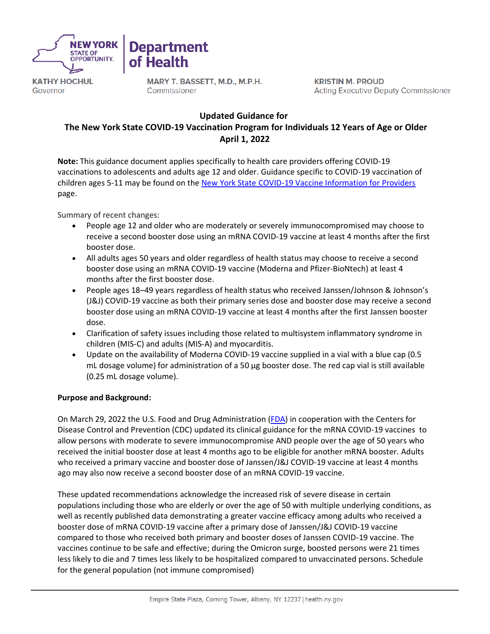

**KATHY HOCHUL** Governor

MARY T. BASSETT, M.D., M.P.H. Commissioner

**Department** 

**Health** 

**KRISTIN M. PROUD Acting Executive Deputy Commissioner** 

# **Updated Guidance for   The New York State COVID-19 Vaccination Program for Individuals 12 Years of Age or Older April 1, 2022**

**Note:** This guidance document applies specifically to health care providers offering COVID-19 vaccinations to adolescents and adults age 12 and older. Guidance specific to COVID-19 vaccination of children ages 5-11 may be found on the [New York State COVID-19 Vaccine Information for Providers](https://coronavirus.health.ny.gov/covid-19-vaccine-information-providers) page.

Summary of recent changes:

- People age 12 and older who are moderately or severely immunocompromised may choose to receive a second booster dose using an mRNA COVID-19 vaccine at least 4 months after the first booster dose.
- All adults ages 50 years and older regardless of health status may choose to receive a second booster dose using an mRNA COVID-19 vaccine (Moderna and Pfizer-BioNtech) at least 4 months after the first booster dose.
- People ages 18–49 years regardless of health status who received Janssen/Johnson & Johnson's (J&J) COVID-19 vaccine as both their primary series dose and booster dose may receive a second booster dose using an mRNA COVID-19 vaccine at least 4 months after the first Janssen booster dose.
- Clarification of safety issues including those related to multisystem inflammatory syndrome in children (MIS-C) and adults (MIS-A) and myocarditis.
- Update on the availability of Moderna COVID-19 vaccine supplied in a vial with a blue cap (0.5 mL dosage volume) for administration of a 50 µg booster dose. The red cap vial is still available (0.25 mL dosage volume).

# **Purpose and Background:**

On March 29, 2022 the U.S. Food and Drug Administration [\(FDA\)](https://www.fda.gov/news-events/press-announcements/coronavirus-covid-19-update-fda-authorizes-second-booster-dose-two-covid-19-vaccines-older-and#:~:text=The%20agency%20amended%20the%20emergency,or%20approved%20COVID%2D19%20vaccine) in cooperation with the Centers for Disease Control and Prevention (CDC) updated its clinical guidance for the mRNA COVID-19 vaccines to allow persons with moderate to severe immunocompromise AND people over the age of 50 years who received the initial booster dose at least 4 months ago to be eligible for another mRNA booster. Adults who received a primary vaccine and booster dose of Janssen/J&J COVID-19 vaccine at least 4 months ago may also now receive a second booster dose of an mRNA COVID-19 vaccine.

These updated recommendations acknowledge the increased risk of severe disease in certain populations including those who are elderly or over the age of 50 with multiple underlying conditions, as well as recently published data demonstrating a greater vaccine efficacy among adults who received a booster dose of mRNA COVID-19 vaccine after a primary dose of Janssen/J&J COVID-19 vaccine compared to those who received both primary and booster doses of Janssen COVID-19 vaccine. The vaccines continue to be safe and effective; during the Omicron surge, boosted persons were 21 times less likely to die and 7 times less likely to be hospitalized compared to unvaccinated persons. Schedule for the general population (not immune compromised)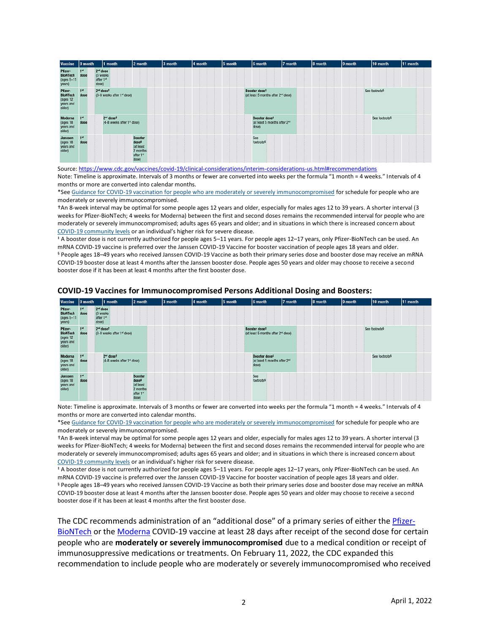| Vaccine                                                       | 0 month                 | 1 month                                             | 2 month                                                                            | 3 month | 4 month | 5 month | 6 month                                                                        | 7 month | 8 month | 9 month | 10 month                  | 11 month |
|---------------------------------------------------------------|-------------------------|-----------------------------------------------------|------------------------------------------------------------------------------------|---------|---------|---------|--------------------------------------------------------------------------------|---------|---------|---------|---------------------------|----------|
| Pfizer-<br><b>BioNTech</b><br>(ages 5-11<br>years)            | 1 <sup>st</sup><br>dose | $2nd$ dose<br>(3 weeks)<br>after 1st<br>dose)       |                                                                                    |         |         |         |                                                                                |         |         |         |                           |          |
| Pfizer-<br><b>BioNTech</b><br>(ages 12<br>years and<br>older) | 1 <sup>st</sup><br>dose | 2 <sup>ad</sup> doset<br>(3-8 weeks after 1st dose) |                                                                                    |         |         |         | Booster dose <sup>‡</sup><br>(at least 5 months after 2 <sup>nd</sup> dose)    |         |         |         | See footnote <sup>§</sup> |          |
| Moderna<br>(ages 18)<br>years and<br>older)                   | 1 <sup>st</sup><br>dose | 2 <sup>nd</sup> doset<br>(4-8 weeks after 1st dose) |                                                                                    |         |         |         | Booster dose <sup>‡</sup><br>(at least 5 months after 2 <sup>nd</sup><br>dose) |         |         |         | See footnote <sup>§</sup> |          |
| Janssen<br>(ages 18)<br>years and<br>older)                   | 1 <sup>st</sup><br>dose |                                                     | <b>Booster</b><br>dose <sup>†</sup><br>(at least<br>2 months<br>after 1st<br>dose) |         |         |         | See<br>footnote <sup>§</sup>                                                   |         |         |         |                           |          |

Source[: https://www.cdc.gov/vaccines/covid-19/clinical-considerations/interim-considerations-us.html#recommendations](https://www.cdc.gov/vaccines/covid-19/clinical-considerations/interim-considerations-us.html#recommendations) Note: Timeline is approximate. Intervals of 3 months or fewer are converted into weeks per the formula "1 month = 4 weeks." Intervals of 4 months or more are converted into calendar months.

\*See [Guidance for COVID-19 vaccination for people who are moderately or severely immunocompromised](https://www.cdc.gov/vaccines/covid-19/clinical-considerations/interim-considerations-us.html#immunocompromised) for schedule for people who are moderately or severely immunocompromised.

†An 8-week interval may be optimal for some people ages 12 years and older, especially for males ages 12 to 39 years. A shorter interval (3 weeks for Pfizer-BioNTech; 4 weeks for Moderna) between the first and second doses remains the recommended interval for people who are moderately or severely immunocompromised; adults ages 65 years and older; and in situations in which there is increased concern about [COVID-19 community levels](https://www.cdc.gov/coronavirus/2019-ncov/science/community-levels.html) or an individual's higher risk for severe disease.

‡ A booster dose is not currently authorized for people ages 5–11 years. For people ages 12–17 years, only Pfizer-BioNTech can be used. An mRNA COVID-19 vaccine is preferred over the Janssen COVID-19 Vaccine for booster vaccination of people ages 18 years and older. § People ages 18–49 years who received Janssen COVID-19 Vaccine as both their primary series dose and booster dose may receive an mRNA COVID-19 booster dose at least 4 months after the Janssen booster dose. People ages 50 years and older may choose to receive a second booster dose if it has been at least 4 months after the first booster dose.

| <b>Vaccine</b>                                                | 10 month                | 1 month                                                         | 2 month                                                                            | 3 month | 4 month | 5 month | 6 month                                                                     | 7 month | 8 month | 9 month | 10 month                  | 11 month |
|---------------------------------------------------------------|-------------------------|-----------------------------------------------------------------|------------------------------------------------------------------------------------|---------|---------|---------|-----------------------------------------------------------------------------|---------|---------|---------|---------------------------|----------|
| Pfizer-<br><b>BioNTech</b><br>(ages 5-11<br>years)            | 1 <sup>st</sup><br>dose | $2nd$ dose<br>(3 weeks)<br>after 1st<br>dose)                   |                                                                                    |         |         |         |                                                                             |         |         |         |                           |          |
| Pfizer-<br><b>BioNTech</b><br>(ages 12<br>years and<br>older) | 1 <sup>st</sup><br>dose | 2 <sup>ad</sup> dose <sup>t</sup><br>(3-8 weeks after 1st dose) |                                                                                    |         |         |         | Booster dose <sup>‡</sup><br>(at least 5 months after 2 <sup>rd</sup> dose) |         |         |         | See footnote <sup>§</sup> |          |
| Moderna<br>(ages 18<br>years and<br>older)                    | 1 <sup>st</sup><br>dose | 2 <sup>nd</sup> doset<br>(4-8 weeks after 1st dose)             |                                                                                    |         |         |         | Booster dose#<br>(at least 5 months after 2 <sup>nd</sup><br>dose)          |         |         |         | See footnote <sup>§</sup> |          |
| Janssen<br>(ages 18<br>years and<br>older)                    | 1 <sup>st</sup><br>dose |                                                                 | <b>Booster</b><br>dose <sup>#</sup><br>(at least<br>2 months<br>after 1st<br>dose) |         |         |         | See<br>footnote <sup>§</sup>                                                |         |         |         |                           |          |

#### **COVID-19 Vaccines for Immunocompromised Persons Additional Dosing and Boosters:**

Note: Timeline is approximate. Intervals of 3 months or fewer are converted into weeks per the formula "1 month = 4 weeks." Intervals of 4 months or more are converted into calendar months.

\*See [Guidance for COVID-19 vaccination for people who are moderately or severely immunocompromised](https://www.cdc.gov/vaccines/covid-19/clinical-considerations/interim-considerations-us.html#immunocompromised) for schedule for people who are moderately or severely immunocompromised.

†An 8-week interval may be optimal for some people ages 12 years and older, especially for males ages 12 to 39 years. A shorter interval (3 weeks for Pfizer-BioNTech; 4 weeks for Moderna) between the first and second doses remains the recommended interval for people who are moderately or severely immunocompromised; adults ages 65 years and older; and in situations in which there is increased concern about [COVID-19 community levels](https://www.cdc.gov/coronavirus/2019-ncov/science/community-levels.html) or an individual's higher risk for severe disease.

‡ A booster dose is not currently authorized for people ages 5–11 years. For people ages 12–17 years, only Pfizer-BioNTech can be used. An mRNA COVID-19 vaccine is preferred over the Janssen COVID-19 Vaccine for booster vaccination of people ages 18 years and older. § People ages 18–49 years who received Janssen COVID-19 Vaccine as both their primary series dose and booster dose may receive an mRNA COVID-19 booster dose at least 4 months after the Janssen booster dose. People ages 50 years and older may choose to receive a second booster dose if it has been at least 4 months after the first booster dose.

The CDC recommends administration of an "additional dose" of a primary series of either the [Pfizer-](https://www.fda.gov/media/150386/download)[BioNTech](https://www.fda.gov/media/150386/download) or th[e Moderna](https://www.fda.gov/media/144636/download) COVID-19 vaccine at least 28 days after receipt of the second dose for certain people who are **moderately or severely immunocompromised** due to a medical condition or receipt of immunosuppressive medications or treatments. On February 11, 2022, the CDC expanded this recommendation to include people who are moderately or severely immunocompromised who received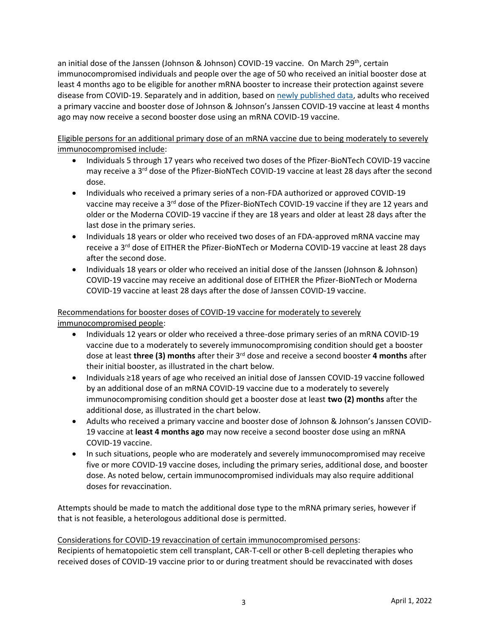an initial dose of the Janssen (Johnson & Johnson) COVID-19 vaccine. On March 29<sup>th</sup>, certain immunocompromised individuals and people over the age of 50 who received an initial booster dose at least 4 months ago to be eligible for another mRNA booster to increase their protection against severe disease from COVID-19. Separately and in addition, based on [newly published data,](https://www.cdc.gov/mmwr/volumes/71/wr/mm7113e2.htm?s_cid=mm7113e2_w) adults who received a primary vaccine and booster dose of Johnson & Johnson's Janssen COVID-19 vaccine at least 4 months ago may now receive a second booster dose using an mRNA COVID-19 vaccine.

Eligible persons for an additional primary dose of an mRNA vaccine due to being moderately to severely immunocompromised include:

- Individuals 5 through 17 years who received two doses of the Pfizer-BioNTech COVID-19 vaccine may receive a 3<sup>rd</sup> dose of the Pfizer-BioNTech COVID-19 vaccine at least 28 days after the second dose.
- Individuals who received a primary series of a non-FDA authorized or approved COVID-19 vaccine may receive a 3<sup>rd</sup> dose of the Pfizer-BioNTech COVID-19 vaccine if they are 12 years and older or the Moderna COVID-19 vaccine if they are 18 years and older at least 28 days after the last dose in the primary series.
- Individuals 18 years or older who received two doses of an FDA-approved mRNA vaccine may receive a 3<sup>rd</sup> dose of EITHER the Pfizer-BioNTech or Moderna COVID-19 vaccine at least 28 days after the second dose.
- Individuals 18 years or older who received an initial dose of the Janssen (Johnson & Johnson) COVID-19 vaccine may receive an additional dose of EITHER the Pfizer-BioNTech or Moderna COVID-19 vaccine at least 28 days after the dose of Janssen COVID-19 vaccine.

# Recommendations for booster doses of COVID-19 vaccine for moderately to severely immunocompromised people:

- Individuals 12 years or older who received a three-dose primary series of an mRNA COVID-19 vaccine due to a moderately to severely immunocompromising condition should get a booster dose at least **three (3) months** after their 3rd dose and receive a second booster **4 months** after their initial booster, as illustrated in the chart below.
- Individuals ≥18 years of age who received an initial dose of Janssen COVID-19 vaccine followed by an additional dose of an mRNA COVID-19 vaccine due to a moderately to severely immunocompromising condition should get a booster dose at least **two (2) months** after the additional dose, as illustrated in the chart below.
- Adults who received a primary vaccine and booster dose of Johnson & Johnson's Janssen COVID-19 vaccine at **least 4 months ago** may now receive a second booster dose using an mRNA COVID-19 vaccine.
- In such situations, people who are moderately and severely immunocompromised may receive five or more COVID-19 vaccine doses, including the primary series, additional dose, and booster dose. As noted below, certain immunocompromised individuals may also require additional doses for revaccination.

Attempts should be made to match the additional dose type to the mRNA primary series, however if that is not feasible, a heterologous additional dose is permitted.

Considerations for COVID-19 revaccination of certain immunocompromised persons: Recipients of hematopoietic stem cell transplant, CAR-T-cell or other B-cell depleting therapies who received doses of COVID-19 vaccine prior to or during treatment should be revaccinated with doses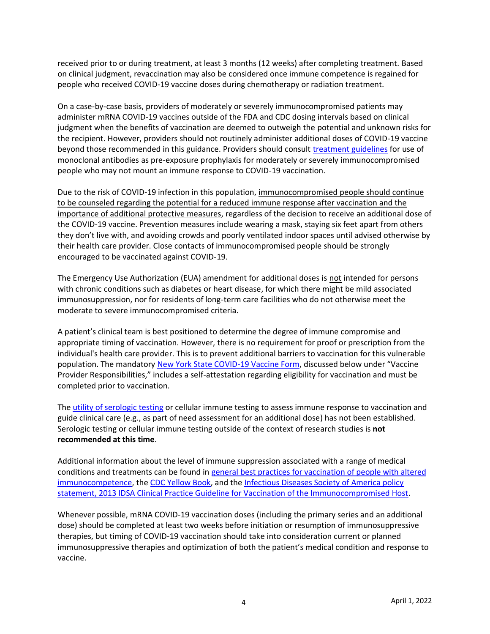received prior to or during treatment, at least 3 months (12 weeks) after completing treatment. Based on clinical judgment, revaccination may also be considered once immune competence is regained for people who received COVID-19 vaccine doses during chemotherapy or radiation treatment.

On a case-by-case basis, providers of moderately or severely immunocompromised patients may administer mRNA COVID-19 vaccines outside of the FDA and CDC dosing intervals based on clinical judgment when the benefits of vaccination are deemed to outweigh the potential and unknown risks for the recipient. However, providers should not routinely administer additional doses of COVID-19 vaccine beyond those recommended in this guidance. Providers should consult *treatment guidelines* for use of monoclonal antibodies as pre-exposure prophylaxis for moderately or severely immunocompromised people who may not mount an immune response to COVID-19 vaccination.

Due to the risk of COVID-19 infection in this population, immunocompromised people should continue to be counseled regarding the potential for a reduced immune response after vaccination and the importance of additional protective measures, regardless of the decision to receive an additional dose of the COVID-19 vaccine. Prevention measures include wearing a mask, staying six feet apart from others they don't live with, and avoiding crowds and poorly ventilated indoor spaces until advised otherwise by their health care provider. Close contacts of immunocompromised people should be strongly encouraged to be vaccinated against COVID-19.

The Emergency Use Authorization (EUA) amendment for additional doses is not intended for persons with chronic conditions such as diabetes or heart disease, for which there might be mild associated immunosuppression, nor for residents of long-term care facilities who do not otherwise meet the moderate to severe immunocompromised criteria.

A patient's clinical team is best positioned to determine the degree of immune compromise and appropriate timing of vaccination. However, there is no requirement for proof or prescription from the individual's health care provider. This is to prevent additional barriers to vaccination for this vulnerable population. The mandatory [New York State COVID-19 Vaccine Form,](https://forms.ny.gov/s3/vaccine) discussed below under "Vaccine Provider Responsibilities," includes a self-attestation regarding eligibility for vaccination and must be completed prior to vaccination.

The [utility of serologic testing](https://www.fda.gov/medical-devices/safety-communications/antibody-testing-not-currently-recommended-assess-immunity-after-covid-19-vaccination-fda-safety) or cellular immune testing to assess immune response to vaccination and guide clinical care (e.g., as part of need assessment for an additional dose) has not been established. Serologic testing or cellular immune testing outside of the context of research studies is **not recommended at this time**.

Additional information about the level of immune suppression associated with a range of medical conditions and treatments can be found in [general best practices for vaccination of people with altered](https://www.cdc.gov/vaccines/hcp/acip-recs/general-recs/immunocompetence.html)  [immunocompetence,](https://www.cdc.gov/vaccines/hcp/acip-recs/general-recs/immunocompetence.html) th[e CDC Yellow Book,](https://wwwnc.cdc.gov/travel/yellowbook/2020/travelers-with-additional-considerations/immunocompromised-travelers) and the [Infectious Diseases Society of America policy](https://academic.oup.com/cid/article/58/3/e44/336537)  [statement, 2013 IDSA Clinical Practice Guideline for Vaccination of the Immunocompromised Host.](https://academic.oup.com/cid/article/58/3/e44/336537)

Whenever possible, mRNA COVID-19 vaccination doses (including the primary series and an additional dose) should be completed at least two weeks before initiation or resumption of immunosuppressive therapies, but timing of COVID-19 vaccination should take into consideration current or planned immunosuppressive therapies and optimization of both the patient's medical condition and response to vaccine.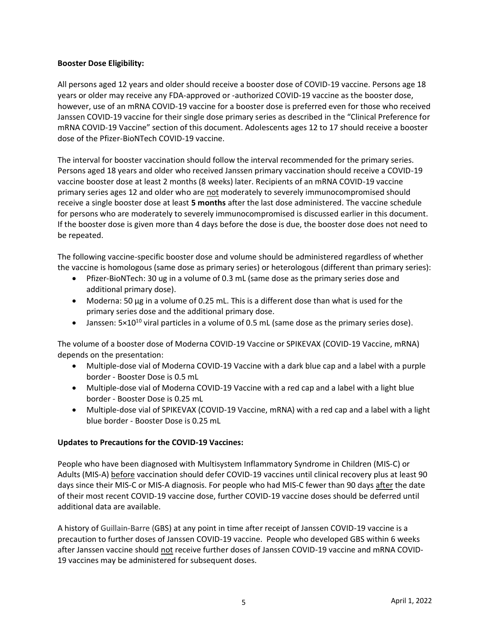### **Booster Dose Eligibility:**

All persons aged 12 years and older should receive a booster dose of COVID-19 vaccine. Persons age 18 years or older may receive any FDA-approved or -authorized COVID-19 vaccine as the booster dose, however, use of an mRNA COVID-19 vaccine for a booster dose is preferred even for those who received Janssen COVID-19 vaccine for their single dose primary series as described in the "Clinical Preference for mRNA COVID-19 Vaccine" section of this document. Adolescents ages 12 to 17 should receive a booster dose of the Pfizer-BioNTech COVID-19 vaccine.

The interval for booster vaccination should follow the interval recommended for the primary series. Persons aged 18 years and older who received Janssen primary vaccination should receive a COVID-19 vaccine booster dose at least 2 months (8 weeks) later. Recipients of an mRNA COVID-19 vaccine primary series ages 12 and older who are not moderately to severely immunocompromised should receive a single booster dose at least **5 months** after the last dose administered. The vaccine schedule for persons who are moderately to severely immunocompromised is discussed earlier in this document. If the booster dose is given more than 4 days before the dose is due, the booster dose does not need to be repeated.

The following vaccine-specific booster dose and volume should be administered regardless of whether the vaccine is homologous (same dose as primary series) or heterologous (different than primary series):

- Pfizer-BioNTech: 30 ug in a volume of 0.3 mL (same dose as the primary series dose and additional primary dose).
- Moderna: 50 µg in a volume of 0.25 mL. This is a different dose than what is used for the primary series dose and the additional primary dose.
- Janssen:  $5\times10^{10}$  viral particles in a volume of 0.5 mL (same dose as the primary series dose).

The volume of a booster dose of Moderna COVID-19 Vaccine or SPIKEVAX (COVID-19 Vaccine, mRNA) depends on the presentation:

- Multiple-dose vial of Moderna COVID-19 Vaccine with a dark blue cap and a label with a purple border - Booster Dose is 0.5 mL
- Multiple-dose vial of Moderna COVID-19 Vaccine with a red cap and a label with a light blue border - Booster Dose is 0.25 mL
- Multiple-dose vial of SPIKEVAX (COVID-19 Vaccine, mRNA) with a red cap and a label with a light blue border - Booster Dose is 0.25 mL

# **Updates to Precautions for the COVID-19 Vaccines:**

People who have been diagnosed with Multisystem Inflammatory Syndrome in Children (MIS-C) or Adults (MIS-A) before vaccination should defer COVID-19 vaccines until clinical recovery plus at least 90 days since their MIS-C or MIS-A diagnosis. For people who had MIS-C fewer than 90 days after the date of their most recent COVID-19 vaccine dose, further COVID-19 vaccine doses should be deferred until additional data are available.

A history of Guillain-Barre (GBS) at any point in time after receipt of Janssen COVID-19 vaccine is a precaution to further doses of Janssen COVID-19 vaccine. People who developed GBS within 6 weeks after Janssen vaccine should not receive further doses of Janssen COVID-19 vaccine and mRNA COVID-19 vaccines may be administered for subsequent doses.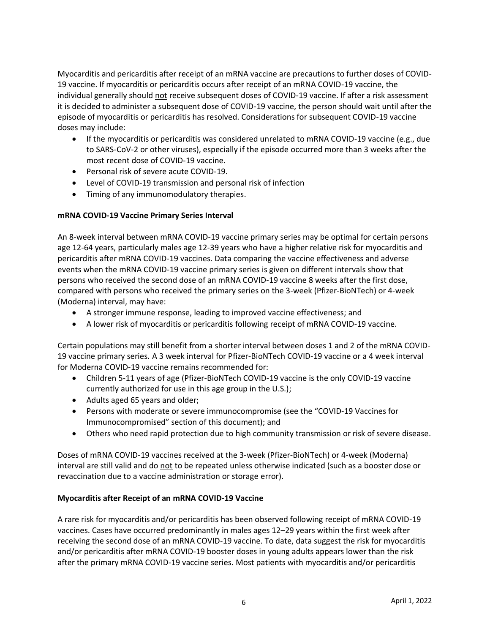Myocarditis and pericarditis after receipt of an mRNA vaccine are precautions to further doses of COVID-19 vaccine. If myocarditis or pericarditis occurs after receipt of an mRNA COVID-19 vaccine, the individual generally should not receive subsequent doses of COVID-19 vaccine. If after a risk assessment it is decided to administer a subsequent dose of COVID-19 vaccine, the person should wait until after the episode of myocarditis or pericarditis has resolved. Considerations for subsequent COVID-19 vaccine doses may include:

- If the myocarditis or pericarditis was considered unrelated to mRNA COVID-19 vaccine (e.g., due to SARS-CoV-2 or other viruses), especially if the episode occurred more than 3 weeks after the most recent dose of COVID-19 vaccine.
- Personal risk of severe acute COVID-19.
- Level of COVID-19 transmission and personal risk of infection
- Timing of any immunomodulatory therapies.

# **mRNA COVID-19 Vaccine Primary Series Interval**

An 8-week interval between mRNA COVID-19 vaccine primary series may be optimal for certain persons age 12-64 years, particularly males age 12-39 years who have a higher relative risk for myocarditis and pericarditis after mRNA COVID-19 vaccines. Data comparing the vaccine effectiveness and adverse events when the mRNA COVID-19 vaccine primary series is given on different intervals show that persons who received the second dose of an mRNA COVID-19 vaccine 8 weeks after the first dose, compared with persons who received the primary series on the 3-week (Pfizer-BioNTech) or 4-week (Moderna) interval, may have:

- A stronger immune response, leading to improved vaccine effectiveness; and
- A lower risk of myocarditis or pericarditis following receipt of mRNA COVID-19 vaccine.

Certain populations may still benefit from a shorter interval between doses 1 and 2 of the mRNA COVID-19 vaccine primary series. A 3 week interval for Pfizer-BioNTech COVID-19 vaccine or a 4 week interval for Moderna COVID-19 vaccine remains recommended for:

- Children 5-11 years of age (Pfizer-BioNTech COVID-19 vaccine is the only COVID-19 vaccine currently authorized for use in this age group in the U.S.);
- Adults aged 65 years and older;
- Persons with moderate or severe immunocompromise (see the "COVID-19 Vaccines for Immunocompromised" section of this document); and
- Others who need rapid protection due to high community transmission or risk of severe disease.

Doses of mRNA COVID-19 vaccines received at the 3-week (Pfizer-BioNTech) or 4-week (Moderna) interval are still valid and do not to be repeated unless otherwise indicated (such as a booster dose or revaccination due to a vaccine administration or storage error).

# **Myocarditis after Receipt of an mRNA COVID-19 Vaccine**

A rare risk for myocarditis and/or pericarditis has been observed following receipt of mRNA COVID-19 vaccines. Cases have occurred predominantly in males ages 12–29 years within the first week after receiving the second dose of an mRNA COVID-19 vaccine. To date, data suggest the risk for myocarditis and/or pericarditis after mRNA COVID-19 booster doses in young adults appears lower than the risk after the primary mRNA COVID-19 vaccine series. Most patients with myocarditis and/or pericarditis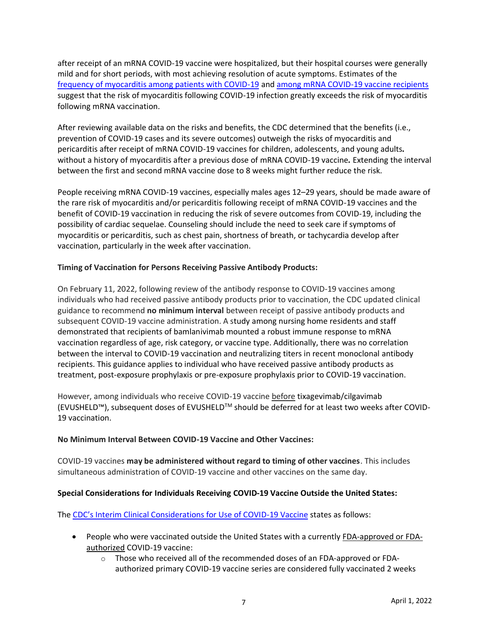after receipt of an mRNA COVID-19 vaccine were hospitalized, but their hospital courses were generally mild and for short periods, with most achieving resolution of acute symptoms. Estimates of the [frequency of myocarditis among patients with COVID-19](https://www.cdc.gov/mmwr/volumes/70/wr/mm7035e5.htm) an[d among mRNA COVID-19 vaccine recipients](https://www.cdc.gov/mmwr/volumes/70/wr/mm7027e2.htm) suggest that the risk of myocarditis following COVID-19 infection greatly exceeds the risk of myocarditis following mRNA vaccination.

After reviewing available data on the risks and benefits, the CDC determined that the benefits (i.e., prevention of COVID-19 cases and its severe outcomes) outweigh the risks of myocarditis and pericarditis after receipt of mRNA COVID-19 vaccines for children, adolescents, and young adults*.* without a history of myocarditis after a previous dose of mRNA COVID-19 vaccine*.* Extending the interval between the first and second mRNA vaccine dose to 8 weeks might further reduce the risk.

People receiving mRNA COVID-19 vaccines, especially males ages 12–29 years, should be made aware of the rare risk of myocarditis and/or pericarditis following receipt of mRNA COVID-19 vaccines and the benefit of COVID-19 vaccination in reducing the risk of severe outcomes from COVID-19, including the possibility of cardiac sequelae. Counseling should include the need to seek care if symptoms of myocarditis or pericarditis, such as chest pain, shortness of breath, or tachycardia develop after vaccination, particularly in the week after vaccination.

### **Timing of Vaccination for Persons Receiving Passive Antibody Products:**

On February 11, 2022, following review of the antibody response to COVID-19 vaccines among individuals who had received passive antibody products prior to vaccination, the CDC updated clinical guidance to recommend **no minimum interval** between receipt of passive antibody products and subsequent COVID-19 vaccine administration. A study among nursing home residents and staff demonstrated that recipients of bamlanivimab mounted a robust immune response to mRNA vaccination regardless of age, risk category, or vaccine type. Additionally, there was no correlation between the interval to COVID-19 vaccination and neutralizing titers in recent monoclonal antibody recipients. This guidance applies to individual who have received passive antibody products as treatment, post-exposure prophylaxis or pre-exposure prophylaxis prior to COVID-19 vaccination.

However, among individuals who receive COVID-19 vaccine before tixagevimab/cilgavimab (EVUSHELD™), subsequent doses of EVUSHELDTM should be deferred for at least two weeks after COVID-19 vaccination.

### **No Minimum Interval Between COVID-19 Vaccine and Other Vaccines:**

COVID-19 vaccines **may be administered without regard to timing of other vaccines**. This includes simultaneous administration of COVID-19 vaccine and other vaccines on the same day.

# **Special Considerations for Individuals Receiving COVID-19 Vaccine Outside the United States:**

The [CDC's Interim Clinical Considerations for Use of COVID](https://www.cdc.gov/vaccines/covid-19/clinical-considerations/interim-considerations-us.html#appendix-a)-19 Vaccine states as follows:

- People who were vaccinated outside the United States with a currently FDA-approved or FDAauthorized COVID-19 vaccine:
	- o Those who received all of the recommended doses of an FDA-approved or FDAauthorized primary COVID-19 vaccine series are considered fully vaccinated 2 weeks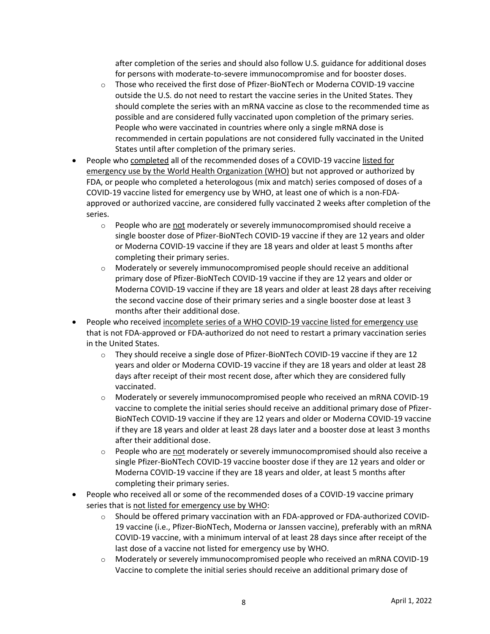after completion of the series and should also follow U.S. guidance for additional doses for persons with moderate-to-severe immunocompromise and for booster doses.

- $\circ$  Those who received the first dose of Pfizer-BioNTech or Moderna COVID-19 vaccine outside the U.S. do not need to restart the vaccine series in the United States. They should complete the series with an mRNA vaccine as close to the recommended time as possible and are considered fully vaccinated upon completion of the primary series. People who were vaccinated in countries where only a single mRNA dose is recommended in certain populations are not considered fully vaccinated in the United States until after completion of the primary series.
- People who completed all of the recommended doses of a COVID-19 vaccine listed for emergency use by the World Health Organization (WHO) but not approved or authorized by FDA, or people who completed a heterologous (mix and match) series composed of doses of a COVID-19 vaccine listed for emergency use by WHO, at least one of which is a non-FDAapproved or authorized vaccine, are considered fully vaccinated 2 weeks after completion of the series.
	- $\circ$  People who are not moderately or severely immunocompromised should receive a single booster dose of Pfizer-BioNTech COVID-19 vaccine if they are 12 years and older or Moderna COVID-19 vaccine if they are 18 years and older at least 5 months after completing their primary series.
	- o Moderately or severely immunocompromised people should receive an additional primary dose of Pfizer-BioNTech COVID-19 vaccine if they are 12 years and older or Moderna COVID-19 vaccine if they are 18 years and older at least 28 days after receiving the second vaccine dose of their primary series and a single booster dose at least 3 months after their additional dose.
- People who received incomplete series of a WHO COVID-19 vaccine listed for emergency use that is not FDA-approved or FDA-authorized do not need to restart a primary vaccination series in the United States.
	- $\circ$  They should receive a single dose of Pfizer-BioNTech COVID-19 vaccine if they are 12 years and older or Moderna COVID-19 vaccine if they are 18 years and older at least 28 days after receipt of their most recent dose, after which they are considered fully vaccinated.
	- o Moderately or severely immunocompromised people who received an mRNA COVID-19 vaccine to complete the initial series should receive an additional primary dose of Pfizer-BioNTech COVID-19 vaccine if they are 12 years and older or Moderna COVID-19 vaccine if they are 18 years and older at least 28 days later and a booster dose at least 3 months after their additional dose.
	- $\circ$  People who are not moderately or severely immunocompromised should also receive a single Pfizer-BioNTech COVID-19 vaccine booster dose if they are 12 years and older or Moderna COVID-19 vaccine if they are 18 years and older, at least 5 months after completing their primary series.
- People who received all or some of the recommended doses of a COVID-19 vaccine primary series that is not listed for emergency use by WHO:
	- o Should be offered primary vaccination with an FDA-approved or FDA-authorized COVID-19 vaccine (i.e., Pfizer-BioNTech, Moderna or Janssen vaccine), preferably with an mRNA COVID-19 vaccine, with a minimum interval of at least 28 days since after receipt of the last dose of a vaccine not listed for emergency use by WHO.
	- o Moderately or severely immunocompromised people who received an mRNA COVID-19 Vaccine to complete the initial series should receive an additional primary dose of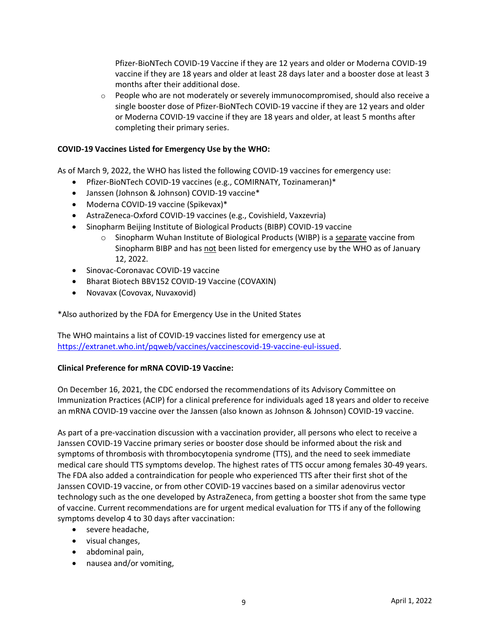Pfizer-BioNTech COVID-19 Vaccine if they are 12 years and older or Moderna COVID-19 vaccine if they are 18 years and older at least 28 days later and a booster dose at least 3 months after their additional dose.

 $\circ$  People who are not moderately or severely immunocompromised, should also receive a single booster dose of Pfizer-BioNTech COVID-19 vaccine if they are 12 years and older or Moderna COVID-19 vaccine if they are 18 years and older, at least 5 months after completing their primary series.

### **COVID-19 Vaccines Listed for Emergency Use by the WHO:**

As of March 9, 2022, the WHO has listed the following COVID-19 vaccines for emergency use:

- Pfizer-BioNTech COVID-19 vaccines (e.g., COMIRNATY, Tozinameran)\*
- Janssen (Johnson & Johnson) COVID-19 vaccine\*
- Moderna COVID-19 vaccine (Spikevax)\*
- AstraZeneca-Oxford COVID-19 vaccines (e.g., Covishield, Vaxzevria)
- Sinopharm Beijing Institute of Biological Products (BIBP) COVID-19 vaccine
	- $\circ$  Sinopharm Wuhan Institute of Biological Products (WIBP) is a separate vaccine from Sinopharm BIBP and has not been listed for emergency use by the WHO as of January 12, 2022.
- Sinovac-Coronavac COVID-19 vaccine
- Bharat Biotech BBV152 COVID-19 Vaccine (COVAXIN)
- Novavax (Covovax, Nuvaxovid)

\*Also authorized by the FDA for Emergency Use in the United States

The WHO maintains a list of COVID-19 vaccines listed for emergency use at [https://extranet.who.int/pqweb/vaccines/vaccinescovid-19-vaccine-eul-issued.](https://extranet.who.int/pqweb/vaccines/vaccinescovid-19-vaccine-eul-issued)

### **Clinical Preference for mRNA COVID-19 Vaccine:**

On December 16, 2021, the CDC endorsed the recommendations of its Advisory Committee on Immunization Practices (ACIP) for a clinical preference for individuals aged 18 years and older to receive an mRNA COVID-19 vaccine over the Janssen (also known as Johnson & Johnson) COVID-19 vaccine.

As part of a pre-vaccination discussion with a vaccination provider, all persons who elect to receive a Janssen COVID-19 Vaccine primary series or booster dose should be informed about the risk and symptoms of thrombosis with thrombocytopenia syndrome (TTS), and the need to seek immediate medical care should TTS symptoms develop. The highest rates of TTS occur among females 30-49 years. The FDA also added a contraindication for people who experienced TTS after their first shot of the Janssen COVID-19 vaccine, or from other COVID-19 vaccines based on a similar adenovirus vector technology such as the one developed by AstraZeneca, from getting a booster shot from the same type of vaccine. Current recommendations are for urgent medical evaluation for TTS if any of the following symptoms develop 4 to 30 days after vaccination:

- severe headache,
- visual changes,
- abdominal pain,
- nausea and/or vomiting,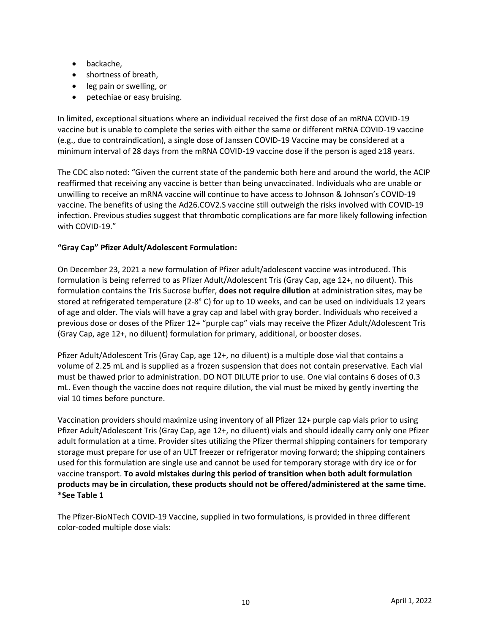- backache,
- shortness of breath,
- leg pain or swelling, or
- petechiae or easy bruising.

In limited, exceptional situations where an individual received the first dose of an mRNA COVID-19 vaccine but is unable to complete the series with either the same or different mRNA COVID-19 vaccine (e.g., due to contraindication), a single dose of Janssen COVID-19 Vaccine may be considered at a minimum interval of 28 days from the mRNA COVID-19 vaccine dose if the person is aged ≥18 years.

The CDC also noted: "Given the current state of the pandemic both here and around the world, the ACIP reaffirmed that receiving any vaccine is better than being unvaccinated. Individuals who are unable or unwilling to receive an mRNA vaccine will continue to have access to Johnson & Johnson's COVID-19 vaccine. The benefits of using the Ad26.COV2.S vaccine still outweigh the risks involved with COVID-19 infection. Previous studies suggest that thrombotic complications are far more likely following infection with COVID-19."

## **"Gray Cap" Pfizer Adult/Adolescent Formulation:**

On December 23, 2021 a new formulation of Pfizer adult/adolescent vaccine was introduced. This formulation is being referred to as Pfizer Adult/Adolescent Tris (Gray Cap, age 12+, no diluent). This formulation contains the Tris Sucrose buffer, **does not require dilution** at administration sites, may be stored at refrigerated temperature (2-8° C) for up to 10 weeks, and can be used on individuals 12 years of age and older. The vials will have a gray cap and label with gray border. Individuals who received a previous dose or doses of the Pfizer 12+ "purple cap" vials may receive the Pfizer Adult/Adolescent Tris (Gray Cap, age 12+, no diluent) formulation for primary, additional, or booster doses.

Pfizer Adult/Adolescent Tris (Gray Cap, age 12+, no diluent) is a multiple dose vial that contains a volume of 2.25 mL and is supplied as a frozen suspension that does not contain preservative. Each vial must be thawed prior to administration. DO NOT DILUTE prior to use. One vial contains 6 doses of 0.3 mL. Even though the vaccine does not require dilution, the vial must be mixed by gently inverting the vial 10 times before puncture.

Vaccination providers should maximize using inventory of all Pfizer 12+ purple cap vials prior to using Pfizer Adult/Adolescent Tris (Gray Cap, age 12+, no diluent) vials and should ideally carry only one Pfizer adult formulation at a time. Provider sites utilizing the Pfizer thermal shipping containers for temporary storage must prepare for use of an ULT freezer or refrigerator moving forward; the shipping containers used for this formulation are single use and cannot be used for temporary storage with dry ice or for vaccine transport. **To avoid mistakes during this period of transition when both adult formulation products may be in circulation, these products should not be offered/administered at the same time. \*See Table 1**

The Pfizer-BioNTech COVID-19 Vaccine, supplied in two formulations, is provided in three different color-coded multiple dose vials: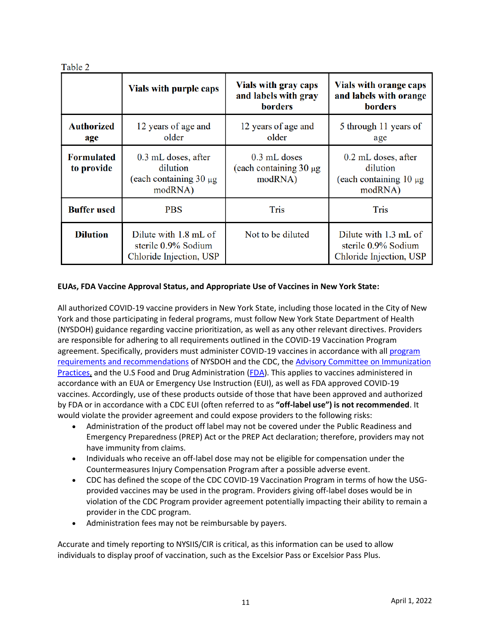|                                 | Vials with purple caps                                                    | Vials with gray caps<br>and labels with gray<br><b>borders</b> | <b>Vials with orange caps</b><br>and labels with orange<br><b>borders</b>   |
|---------------------------------|---------------------------------------------------------------------------|----------------------------------------------------------------|-----------------------------------------------------------------------------|
| <b>Authorized</b><br>age        | 12 years of age and<br>older                                              | 12 years of age and<br>older                                   | 5 through 11 years of<br>age                                                |
| <b>Formulated</b><br>to provide | 0.3 mL doses, after<br>dilution<br>(each containing $30 \mu g$<br>modRNA) | 0.3 mL doses<br>(each containing $30 \mu g$ )<br>modRNA)       | $0.2$ mL doses, after<br>dilution<br>(each containing $10 \mu$ g<br>modRNA) |
| <b>Buffer used</b>              | <b>PBS</b>                                                                | <b>Tris</b>                                                    | <b>Tris</b>                                                                 |
| <b>Dilution</b>                 | Dilute with 1.8 mL of<br>sterile 0.9% Sodium<br>Chloride Injection, USP   | Not to be diluted                                              | Dilute with 1.3 mL of<br>sterile 0.9% Sodium<br>Chloride Injection, USP     |

## **EUAs, FDA Vaccine Approval Status, and Appropriate Use of Vaccines in New York State:**

All authorized COVID-19 vaccine providers in New York State, including those located in the City of New York and those participating in federal programs, must follow New York State Department of Health (NYSDOH) guidance regarding vaccine prioritization, as well as any other relevant directives. Providers are responsible for adhering to all requirements outlined in the COVID-19 Vaccination Program agreement. Specifically, providers must administer COVID-19 vaccines in accordance with all program [requirements and recommendations](https://www.cdc.gov/vaccines/covid-19/vaccination-provider-support.html) of NYSDOH and the CDC, th[e Advisory Committee on Immunization](https://www.cdc.gov/vaccines/hcp/acip-recs/vacc-specific/covid-19.html)  [Practices,](https://www.cdc.gov/vaccines/hcp/acip-recs/vacc-specific/covid-19.html) and the U.S Food and Drug Administration [\(FDA\)](https://www.fda.gov/emergency-preparedness-and-response/coronavirus-disease-2019-covid-19/covid-19-vaccines). This applies to vaccines administered in accordance with an EUA or Emergency Use Instruction (EUI), as well as FDA approved COVID-19 vaccines. Accordingly, use of these products outside of those that have been approved and authorized by FDA or in accordance with a CDC EUI (often referred to as **"off-label use") is not recommended**. It would violate the provider agreement and could expose providers to the following risks:

- Administration of the product off label may not be covered under the Public Readiness and Emergency Preparedness (PREP) Act or the PREP Act declaration; therefore, providers may not have immunity from claims.
- Individuals who receive an off-label dose may not be eligible for compensation under the Countermeasures Injury Compensation Program after a possible adverse event.
- CDC has defined the scope of the CDC COVID-19 Vaccination Program in terms of how the USGprovided vaccines may be used in the program. Providers giving off-label doses would be in violation of the CDC Program provider agreement potentially impacting their ability to remain a provider in the CDC program.
- Administration fees may not be reimbursable by payers.

Accurate and timely reporting to NYSIIS/CIR is critical, as this information can be used to allow individuals to display proof of vaccination, such as the Excelsior Pass or Excelsior Pass Plus.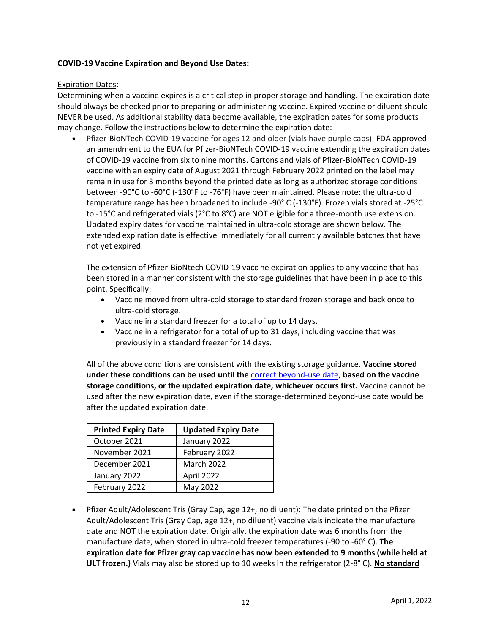### **COVID-19 Vaccine Expiration and Beyond Use Dates:**

### Expiration Dates:

Determining when a vaccine expires is a critical step in proper storage and handling. The expiration date should always be checked prior to preparing or administering vaccine. Expired vaccine or diluent should NEVER be used. As additional stability data become available, the expiration dates for some products may change. Follow the instructions below to determine the expiration date:

• Pfizer-BioNTech COVID-19 vaccine for ages 12 and older (vials have purple caps): FDA approved an amendment to the EUA for Pfizer-BioNTech COVID-19 vaccine extending the expiration dates of COVID-19 vaccine from six to nine months. Cartons and vials of Pfizer-BioNTech COVID-19 vaccine with an expiry date of August 2021 through February 2022 printed on the label may remain in use for 3 months beyond the printed date as long as authorized storage conditions between -90°C to -60°C (-130°F to -76°F) have been maintained. Please note: the ultra-cold temperature range has been broadened to include -90° C (-130°F). Frozen vials stored at -25°C to -15°C and refrigerated vials (2°C to 8°C) are NOT eligible for a three-month use extension. Updated expiry dates for vaccine maintained in ultra-cold storage are shown below. The extended expiration date is effective immediately for all currently available batches that have not yet expired.

The extension of Pfizer-BioNtech COVID-19 vaccine expiration applies to any vaccine that has been stored in a manner consistent with the storage guidelines that have been in place to this point. Specifically:

- Vaccine moved from ultra-cold storage to standard frozen storage and back once to ultra-cold storage.
- Vaccine in a standard freezer for a total of up to 14 days.
- Vaccine in a refrigerator for a total of up to 31 days, including vaccine that was previously in a standard freezer for 14 days.

All of the above conditions are consistent with the existing storage guidance. **Vaccine stored under these conditions can be used until the** [correct beyond-use date,](https://www.cdc.gov/vaccines/covid-19/info-by-product/pfizer/downloads/bud-tracking-labels.pdf) **based on the vaccine storage conditions, or the updated expiration date, whichever occurs first.** Vaccine cannot be used after the new expiration date, even if the storage-determined beyond-use date would be after the updated expiration date.

| <b>Printed Expiry Date</b> | <b>Updated Expiry Date</b> |  |
|----------------------------|----------------------------|--|
| October 2021               | January 2022               |  |
| November 2021              | February 2022              |  |
| December 2021              | <b>March 2022</b>          |  |
| January 2022               | April 2022                 |  |
| February 2022              | May 2022                   |  |

• Pfizer Adult/Adolescent Tris (Gray Cap, age 12+, no diluent): The date printed on the Pfizer Adult/Adolescent Tris (Gray Cap, age 12+, no diluent) vaccine vials indicate the manufacture date and NOT the expiration date. Originally, the expiration date was 6 months from the manufacture date, when stored in ultra-cold freezer temperatures (-90 to -60° C). **The expiration date for Pfizer gray cap vaccine has now been extended to 9 months (while held at ULT frozen.)** Vials may also be stored up to 10 weeks in the refrigerator (2-8° C). **No standard**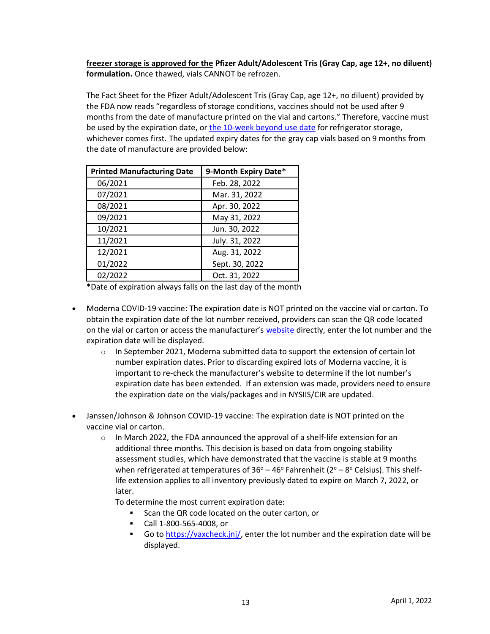**freezer storage is approved for the Pfizer Adult/Adolescent Tris (Gray Cap, age 12+, no diluent) formulation.** Once thawed, vials CANNOT be refrozen.

The Fact Sheet for the Pfizer Adult/Adolescent Tris (Gray Cap, age 12+, no diluent) provided by the FDA now reads "regardless of storage conditions, vaccines should not be used after 9 months from the date of manufacture printed on the vial and cartons." Therefore, vaccine must be used by the expiration date, o[r the 10-week beyond use date](https://www.cdc.gov/vaccines/covid-19/info-by-product/pfizer/downloads/gray-cap-bud-tracking-labels.pdf) for refrigerator storage, whichever comes first. The updated expiry dates for the gray cap vials based on 9 months from the date of manufacture are provided below:

| <b>Printed Manufacturing Date</b> | 9-Month Expiry Date* |
|-----------------------------------|----------------------|
| 06/2021                           | Feb. 28, 2022        |
| 07/2021                           | Mar. 31, 2022        |
| 08/2021                           | Apr. 30, 2022        |
| 09/2021                           | May 31, 2022         |
| 10/2021                           | Jun. 30, 2022        |
| 11/2021                           | July. 31, 2022       |
| 12/2021                           | Aug. 31, 2022        |
| 01/2022                           | Sept. 30, 2022       |
| 02/2022                           | Oct. 31, 2022        |

\*Date of expiration always falls on the last day of the month

- Moderna COVID-19 vaccine: The expiration date is NOT printed on the vaccine vial or carton. To obtain the expiration date of the lot number received, providers can scan the QR code located on the vial or carton or access the manufacturer's [website](https://www.modernatx.com/covid19vaccine-eua/providers/vial-lookup) directly, enter the lot number and the expiration date will be displayed.
	- $\circ$  In September 2021, Moderna submitted data to support the extension of certain lot number expiration dates. Prior to discarding expired lots of Moderna vaccine, it is important to re-check the manufacturer's website to determine if the lot number's expiration date has been extended. If an extension was made, providers need to ensure the expiration date on the vials/packages and in NYSIIS/CIR are updated.
- Janssen/Johnson & Johnson COVID-19 vaccine: The expiration date is NOT printed on the vaccine vial or carton.
	- $\circ$  In March 2022, the FDA announced the approval of a shelf-life extension for an additional three months. This decision is based on data from ongoing stability assessment studies, which have demonstrated that the vaccine is stable at 9 months when refrigerated at temperatures of  $36^{\circ}$  – 46° Fahrenheit (2° – 8° Celsius). This shelflife extension applies to all inventory previously dated to expire on March 7, 2022, or later.

To determine the most current expiration date:

- Scan the QR code located on the outer carton, or
- Call 1-800-565-4008, or
- **•** Go to [https://vaxcheck.jnj/,](https://vaxcheck.jnj/) enter the lot number and the expiration date will be displayed.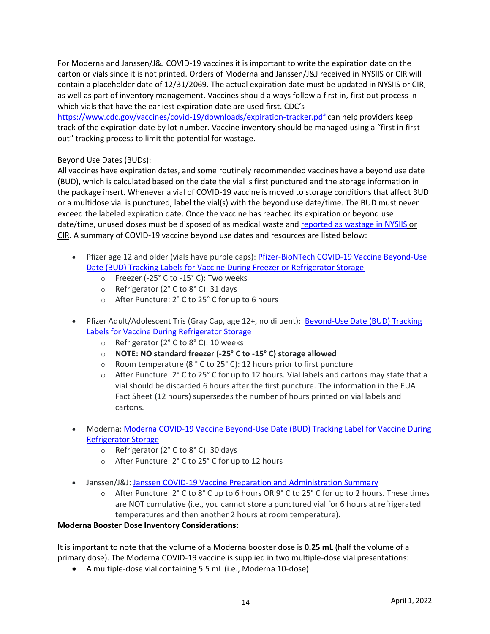For Moderna and Janssen/J&J COVID-19 vaccines it is important to write the expiration date on the carton or vials since it is not printed. Orders of Moderna and Janssen/J&J received in NYSIIS or CIR will contain a placeholder date of 12/31/2069. The actual expiration date must be updated in NYSIIS or CIR, as well as part of inventory management. Vaccines should always follow a first in, first out process in which vials that have the earliest expiration date are used first. CDC's

<https://www.cdc.gov/vaccines/covid-19/downloads/expiration-tracker.pdf> can help providers keep track of the expiration date by lot number. Vaccine inventory should be managed using a "first in first out" tracking process to limit the potential for wastage.

## Beyond Use Dates (BUDs):

All vaccines have expiration dates, and some routinely recommended vaccines have a beyond use date (BUD), which is calculated based on the date the vial is first punctured and the storage information in the package insert. Whenever a vial of COVID-19 vaccine is moved to storage conditions that affect BUD or a multidose vial is punctured, label the vial(s) with the beyond use date/time. The BUD must never exceed the labeled expiration date. Once the vaccine has reached its expiration or beyond use date/time, unused doses must be disposed of as medical waste and [reported as wastage in NYSIIS](https://coronavirus.health.ny.gov/reporting-vaccine-wastage) or CIR. A summary of COVID-19 vaccine beyond use dates and resources are listed below:

- Pfizer age 12 and older (vials have purple caps): [Pfizer-BioNTech COVID-19 Vaccine Beyond-Use](https://www.cdc.gov/vaccines/covid-19/info-by-product/pfizer/downloads/bud-tracking-labels.pdf)  [Date \(BUD\) Tracking Labels for Vaccine During Freezer or Refrigerator Storage](https://www.cdc.gov/vaccines/covid-19/info-by-product/pfizer/downloads/bud-tracking-labels.pdf)
	- o Freezer (-25° C to -15° C): Two weeks
	- o Refrigerator (2° C to 8° C): 31 days
	- o After Puncture: 2° C to 25° C for up to 6 hours
- Pfizer Adult/Adolescent Tris (Gray Cap, age 12+, no diluent): Beyond-Use Date (BUD) Tracking [Labels for Vaccine During Refrigerator Storage](https://www.cdc.gov/vaccines/covid-19/info-by-product/pfizer/downloads/gray-cap-bud-tracking-labels.pdf)
	- o Refrigerator (2° C to 8° C): 10 weeks
	- o **NOTE: NO standard freezer (-25° C to -15° C) storage allowed**
	- $\circ$  Room temperature (8 ° C to 25° C): 12 hours prior to first puncture
	- $\circ$  After Puncture: 2° C to 25° C for up to 12 hours. Vial labels and cartons may state that a vial should be discarded 6 hours after the first puncture. The information in the EUA Fact Sheet (12 hours) supersedes the number of hours printed on vial labels and cartons.
- Moderna: Moderna COVID-19 Vaccine Beyond-Use Date (BUD) Tracking Label for Vaccine During [Refrigerator Storage](https://www.cdc.gov/vaccines/covid-19/info-by-product/moderna/downloads/bud-tracking-labels.pdf)
	- o Refrigerator (2° C to 8° C): 30 days
	- o After Puncture: 2° C to 25° C for up to 12 hours
- Janssen/J&J[: Janssen COVID-19 Vaccine Preparation and Administration Summary](https://www.cdc.gov/vaccines/covid-19/info-by-product/janssen/downloads/Janssen-Prep-and-Admin-Summary.pdf)
	- $\circ$  After Puncture: 2° C to 8° C up to 6 hours OR 9° C to 25° C for up to 2 hours. These times are NOT cumulative (i.e., you cannot store a punctured vial for 6 hours at refrigerated temperatures and then another 2 hours at room temperature).

### **Moderna Booster Dose Inventory Considerations**:

It is important to note that the volume of a Moderna booster dose is **0.25 mL** (half the volume of a primary dose). The Moderna COVID-19 vaccine is supplied in two multiple-dose vial presentations:

• A multiple-dose vial containing 5.5 mL (i.e., Moderna 10-dose)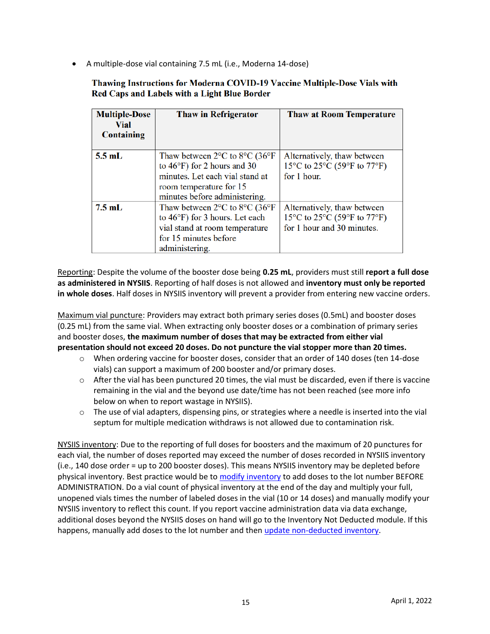• A multiple-dose vial containing 7.5 mL (i.e., Moderna 14-dose)

## Thawing Instructions for Moderna COVID-19 Vaccine Multiple-Dose Vials with Red Caps and Labels with a Light Blue Border

| <b>Multiple-Dose</b><br>Vial<br><b>Containing</b> | <b>Thaw in Refrigerator</b>                                                                                                                                                                           | <b>Thaw at Room Temperature</b>                                                          |
|---------------------------------------------------|-------------------------------------------------------------------------------------------------------------------------------------------------------------------------------------------------------|------------------------------------------------------------------------------------------|
| $5.5$ mL                                          | Thaw between $2^{\circ}$ C to $8^{\circ}$ C (36 $^{\circ}$ F)<br>to $46^{\circ}$ F) for 2 hours and 30<br>minutes. Let each vial stand at<br>room temperature for 15<br>minutes before administering. | Alternatively, thaw between<br>15°C to 25°C (59°F to 77°F)<br>for 1 hour.                |
| $7.5$ mL                                          | Thaw between $2^{\circ}$ C to $8^{\circ}$ C (36 $^{\circ}$ F)<br>to $46^{\circ}$ F) for 3 hours. Let each<br>vial stand at room temperature<br>for 15 minutes before<br>administering.                | Alternatively, thaw between<br>15°C to 25°C (59°F to 77°F)<br>for 1 hour and 30 minutes. |

Reporting: Despite the volume of the booster dose being **0.25 mL**, providers must still **report a full dose as administered in NYSIIS**. Reporting of half doses is not allowed and **inventory must only be reported in whole doses**. Half doses in NYSIIS inventory will prevent a provider from entering new vaccine orders.

Maximum vial puncture: Providers may extract both primary series doses (0.5mL) and booster doses (0.25 mL) from the same vial. When extracting only booster doses or a combination of primary series and booster doses, **the maximum number of doses that may be extracted from either vial presentation should not exceed 20 doses. Do not puncture the vial stopper more than 20 times.**

- o When ordering vaccine for booster doses, consider that an order of 140 doses (ten 14-dose vials) can support a maximum of 200 booster and/or primary doses.
- o After the vial has been punctured 20 times, the vial must be discarded, even if there is vaccine remaining in the vial and the beyond use date/time has not been reached (see more info below on when to report wastage in NYSIIS).
- $\circ$  The use of vial adapters, dispensing pins, or strategies where a needle is inserted into the vial septum for multiple medication withdraws is not allowed due to contamination risk.

NYSIIS inventory: Due to the reporting of full doses for boosters and the maximum of 20 punctures for each vial, the number of doses reported may exceed the number of doses recorded in NYSIIS inventory (i.e., 140 dose order = up to 200 booster doses). This means NYSIIS inventory may be depleted before physical inventory. Best practice would be t[o modify inventory](https://coronavirus.health.ny.gov/system/files/documents/2021/05/manually_modifying_nysiis_inventory.pdf) to add doses to the lot number BEFORE ADMINISTRATION. Do a vial count of physical inventory at the end of the day and multiply your full, unopened vials times the number of labeled doses in the vial (10 or 14 doses) and manually modify your NYSIIS inventory to reflect this count. If you report vaccine administration data via data exchange, additional doses beyond the NYSIIS doses on hand will go to the Inventory Not Deducted module. If this happens, manually add doses to the lot number and then [update non-deducted inventory.](https://gcc02.safelinks.protection.outlook.com/?url=https%3A%2F%2Fcoronavirus.health.ny.gov%2Fsystem%2Ffiles%2Fdocuments%2F2021%2F05%2Fnysiis_inventory_not_deducted_cheatsheet.pdf&data=04%7C01%7Clyndsey.hoyt%40health.ny.gov%7C5cffd6262ec14ac741c608d9a06c15ba%7Cf46cb8ea79004d108ceb80e8c1c81ee7%7C0%7C0%7C637717208342131981%7CUnknown%7CTWFpbGZsb3d8eyJWIjoiMC4wLjAwMDAiLCJQIjoiV2luMzIiLCJBTiI6Ik1haWwiLCJXVCI6Mn0%3D%7C1000&sdata=TS460nUep0gedCfjipLew36m7VoWEU7KWhBWUFtOFeQ%3D&reserved=0)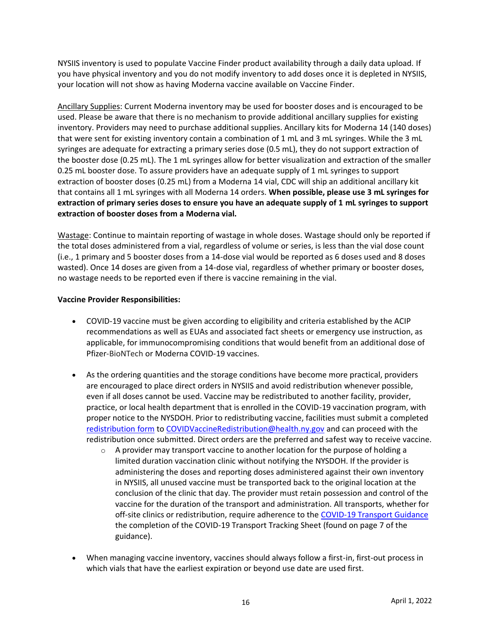NYSIIS inventory is used to populate Vaccine Finder product availability through a daily data upload. If you have physical inventory and you do not modify inventory to add doses once it is depleted in NYSIIS, your location will not show as having Moderna vaccine available on Vaccine Finder.

Ancillary Supplies: Current Moderna inventory may be used for booster doses and is encouraged to be used. Please be aware that there is no mechanism to provide additional ancillary supplies for existing inventory. Providers may need to purchase additional supplies. Ancillary kits for Moderna 14 (140 doses) that were sent for existing inventory contain a combination of 1 mL and 3 mL syringes. While the 3 mL syringes are adequate for extracting a primary series dose (0.5 mL), they do not support extraction of the booster dose (0.25 mL). The 1 mL syringes allow for better visualization and extraction of the smaller 0.25 mL booster dose. To assure providers have an adequate supply of 1 mL syringes to support extraction of booster doses (0.25 mL) from a Moderna 14 vial, CDC will ship an additional ancillary kit that contains all 1 mL syringes with all Moderna 14 orders. **When possible, please use 3 mL syringes for extraction of primary series doses to ensure you have an adequate supply of 1 mL syringes to support extraction of booster doses from a Moderna vial.**

Wastage: Continue to maintain reporting of wastage in whole doses. Wastage should only be reported if the total doses administered from a vial, regardless of volume or series, is less than the vial dose count (i.e., 1 primary and 5 booster doses from a 14-dose vial would be reported as 6 doses used and 8 doses wasted). Once 14 doses are given from a 14-dose vial, regardless of whether primary or booster doses, no wastage needs to be reported even if there is vaccine remaining in the vial.

## **Vaccine Provider Responsibilities:**

- COVID-19 vaccine must be given according to eligibility and criteria established by the ACIP recommendations as well as EUAs and associated fact sheets or emergency use instruction, as applicable, for immunocompromising conditions that would benefit from an additional dose of Pfizer-BioNTech or Moderna COVID-19 vaccines.
- As the ordering quantities and the storage conditions have become more practical, providers are encouraged to place direct orders in NYSIIS and avoid redistribution whenever possible, even if all doses cannot be used. Vaccine may be redistributed to another facility, provider, practice, or local health department that is enrolled in the COVID-19 vaccination program, with proper notice to the NYSDOH. Prior to redistributing vaccine, facilities must submit a completed [redistribution form](https://coronavirus.health.ny.gov/system/files/documents/2021/05/vaccine_program_redistribution_5.21.21.pdf) to [COVIDVaccineRedistribution@health.ny.gov](mailto:COVIDVaccineRedistribution@health.ny.gov) and can proceed with the redistribution once submitted. Direct orders are the preferred and safest way to receive vaccine.
	- $\circ$  A provider may transport vaccine to another location for the purpose of holding a limited duration vaccination clinic without notifying the NYSDOH. If the provider is administering the doses and reporting doses administered against their own inventory in NYSIIS, all unused vaccine must be transported back to the original location at the conclusion of the clinic that day. The provider must retain possession and control of the vaccine for the duration of the transport and administration. All transports, whether for off-site clinics or redistribution, require adherence to the [COVID-19 Transport Guidance](https://coronavirus.health.ny.gov/new-york-state-covid-19-vaccine-program-guidance-vaccine-transport) the completion of the COVID-19 Transport Tracking Sheet (found on page 7 of the guidance).
- When managing vaccine inventory, vaccines should always follow a first-in, first-out process in which vials that have the earliest expiration or beyond use date are used first.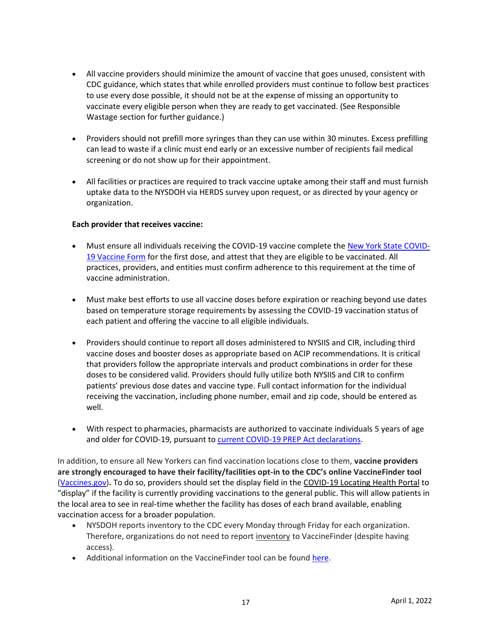- All vaccine providers should minimize the amount of vaccine that goes unused, consistent with CDC guidance, which states that while enrolled providers must continue to follow best practices to use every dose possible, it should not be at the expense of missing an opportunity to vaccinate every eligible person when they are ready to get vaccinated. (See Responsible Wastage section for further guidance.)
- Providers should not prefill more syringes than they can use within 30 minutes. Excess prefilling can lead to waste if a clinic must end early or an excessive number of recipients fail medical screening or do not show up for their appointment.
- All facilities or practices are required to track vaccine uptake among their staff and must furnish uptake data to the NYSDOH via HERDS survey upon request, or as directed by your agency or organization.

### **Each provider that receives vaccine:**

- Must ensure all individuals receiving the COVID-19 vaccine complete the [New York State COVID-](https://forms.ny.gov/s3/vaccine)[19 Vaccine Form](https://forms.ny.gov/s3/vaccine) for the first dose, and attest that they are eligible to be vaccinated. All practices, providers, and entities must confirm adherence to this requirement at the time of vaccine administration.
- Must make best efforts to use all vaccine doses before expiration or reaching beyond use dates based on temperature storage requirements by assessing the COVID-19 vaccination status of each patient and offering the vaccine to all eligible individuals.
- Providers should continue to report all doses administered to NYSIIS and CIR, including third vaccine doses and booster doses as appropriate based on ACIP recommendations. It is critical that providers follow the appropriate intervals and product combinations in order for these doses to be considered valid. Providers should fully utilize both NYSIIS and CIR to confirm patients' previous dose dates and vaccine type. Full contact information for the individual receiving the vaccination, including phone number, email and zip code, should be entered as well.
- With respect to pharmacies, pharmacists are authorized to vaccinate individuals 5 years of age and older for COVID-19, pursuant to [current COVID-19 PREP Act declarations.](https://www.phe.gov/Preparedness/legal/prepact/Pages/default.aspx)

In addition, to ensure all New Yorkers can find vaccination locations close to them, **vaccine providers are strongly encouraged to have their facility/facilities opt-in to the CDC's online VaccineFinder tool**  [\(Vaccines.gov\)](https://www.vaccines.gov/)**.** To do so, providers should set the display field in the COVID-19 Locating Health Portal to "display" if the facility is currently providing vaccinations to the general public. This will allow patients in the local area to see in real-time whether the facility has doses of each brand available, enabling vaccination access for a broader population.

- NYSDOH reports inventory to the CDC every Monday through Friday for each organization. Therefore, organizations do not need to report inventory to VaccineFinder (despite having access).
- Additional information on the VaccineFinder tool can be found [here.](https://www.vaccines.gov/covid-provider-resources/)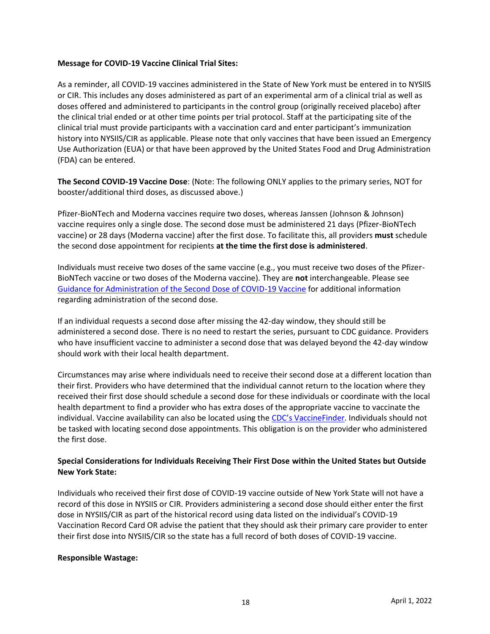#### **Message for COVID-19 Vaccine Clinical Trial Sites:**

As a reminder, all COVID-19 vaccines administered in the State of New York must be entered in to NYSIIS or CIR. This includes any doses administered as part of an experimental arm of a clinical trial as well as doses offered and administered to participants in the control group (originally received placebo) after the clinical trial ended or at other time points per trial protocol. Staff at the participating site of the clinical trial must provide participants with a vaccination card and enter participant's immunization history into NYSIIS/CIR as applicable. Please note that only vaccines that have been issued an Emergency Use Authorization (EUA) or that have been approved by the United States Food and Drug Administration (FDA) can be entered.

**The Second COVID-19 Vaccine Dose**: (Note: The following ONLY applies to the primary series, NOT for booster/additional third doses, as discussed above.)

Pfizer-BioNTech and Moderna vaccines require two doses, whereas Janssen (Johnson & Johnson) vaccine requires only a single dose. The second dose must be administered 21 days (Pfizer-BioNTech vaccine) or 28 days (Moderna vaccine) after the first dose. To facilitate this, all providers **must** schedule the second dose appointment for recipients **at the time the first dose is administered**.

Individuals must receive two doses of the same vaccine (e.g., you must receive two doses of the Pfizer-BioNTech vaccine or two doses of the Moderna vaccine). They are **not** interchangeable. Please see [Guidance for Administration of the Second Dose of COVID-19 Vaccine](https://coronavirus.health.ny.gov/guidance-administration-second-dose) for additional information regarding administration of the second dose.

If an individual requests a second dose after missing the 42-day window, they should still be administered a second dose. There is no need to restart the series, pursuant to CDC guidance. Providers who have insufficient vaccine to administer a second dose that was delayed beyond the 42-day window should work with their local health department.

Circumstances may arise where individuals need to receive their second dose at a different location than their first. Providers who have determined that the individual cannot return to the location where they received their first dose should schedule a second dose for these individuals or coordinate with the local health department to find a provider who has extra doses of the appropriate vaccine to vaccinate the individual. Vaccine availability can also be located using the [CDC's VaccineFinder](https://www.vaccines.gov/). Individuals should not be tasked with locating second dose appointments. This obligation is on the provider who administered the first dose.

## **Special Considerations for Individuals Receiving Their First Dose within the United States but Outside New York State:**

Individuals who received their first dose of COVID-19 vaccine outside of New York State will not have a record of this dose in NYSIIS or CIR. Providers administering a second dose should either enter the first dose in NYSIIS/CIR as part of the historical record using data listed on the individual's COVID-19 Vaccination Record Card OR advise the patient that they should ask their primary care provider to enter their first dose into NYSIIS/CIR so the state has a full record of both doses of COVID-19 vaccine.

### **Responsible Wastage:**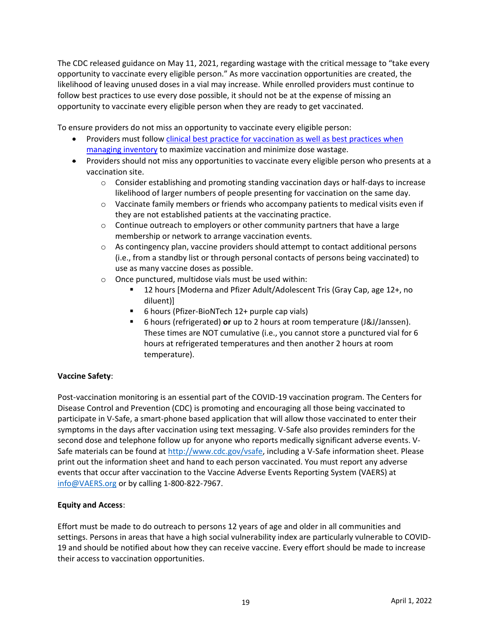The CDC released guidance on May 11, 2021, regarding wastage with the critical message to "take every opportunity to vaccinate every eligible person." As more vaccination opportunities are created, the likelihood of leaving unused doses in a vial may increase. While enrolled providers must continue to follow best practices to use every dose possible, it should not be at the expense of missing an opportunity to vaccinate every eligible person when they are ready to get vaccinated.

To ensure providers do not miss an opportunity to vaccinate every eligible person:

- Providers must follow clinical best practice for vaccination as well as best practices when [managing inventory](https://www.cdc.gov/vaccines/pubs/pinkbook/strat.html) to maximize vaccination and minimize dose wastage.
- Providers should not miss any opportunities to vaccinate every eligible person who presents at a vaccination site.
	- $\circ$  Consider establishing and promoting standing vaccination days or half-days to increase likelihood of larger numbers of people presenting for vaccination on the same day.
	- $\circ$  Vaccinate family members or friends who accompany patients to medical visits even if they are not established patients at the vaccinating practice.
	- $\circ$  Continue outreach to employers or other community partners that have a large membership or network to arrange vaccination events.
	- $\circ$  As contingency plan, vaccine providers should attempt to contact additional persons (i.e., from a standby list or through personal contacts of persons being vaccinated) to use as many vaccine doses as possible.
	- o Once punctured, multidose vials must be used within:
		- 12 hours [Moderna and Pfizer Adult/Adolescent Tris (Gray Cap, age 12+, no diluent)]
		- 6 hours (Pfizer-BioNTech 12+ purple cap vials)
		- 6 hours (refrigerated) **or** up to 2 hours at room temperature (J&J/Janssen). These times are NOT cumulative (i.e., you cannot store a punctured vial for 6 hours at refrigerated temperatures and then another 2 hours at room temperature).

# **Vaccine Safety**:

Post-vaccination monitoring is an essential part of the COVID-19 vaccination program. The Centers for Disease Control and Prevention (CDC) is promoting and encouraging all those being vaccinated to participate in V-Safe, a smart-phone based application that will allow those vaccinated to enter their symptoms in the days after vaccination using text messaging. V-Safe also provides reminders for the second dose and telephone follow up for anyone who reports medically significant adverse events. V-Safe materials can be found at [http://www.cdc.gov/vsafe,](http://www.cdc.gov/vsafe) including a V-Safe information sheet. Please print out the information sheet and hand to each person vaccinated. You must report any adverse events that occur after vaccination to the Vaccine Adverse Events Reporting System (VAERS) at [info@VAERS.org](mailto:info@VAERS.org) or by calling 1-800-822-7967.

### **Equity and Access**:

Effort must be made to do outreach to persons 12 years of age and older in all communities and settings. Persons in areas that have a high social vulnerability index are particularly vulnerable to COVID-19 and should be notified about how they can receive vaccine. Every effort should be made to increase their access to vaccination opportunities.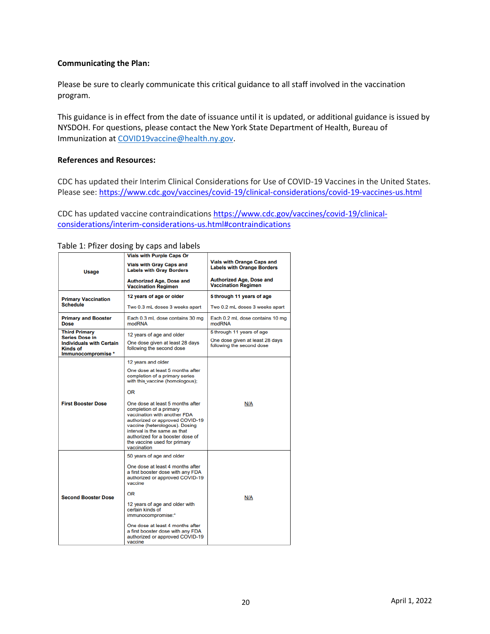#### **Communicating the Plan:**

Please be sure to clearly communicate this critical guidance to all staff involved in the vaccination program.  

This guidance is in effect from the date of issuance until it is updated, or additional guidance is issued by NYSDOH. For questions, please contact the New York State Department of Health, Bureau of Immunization at [COVID19vaccine@health.ny.gov.](mailto:COVID19vaccine@health.ny.gov)

#### **References and Resources:**

CDC has updated their Interim Clinical Considerations for Use of COVID-19 Vaccines in the United States. Please see:<https://www.cdc.gov/vaccines/covid-19/clinical-considerations/covid-19-vaccines-us.html>

CDC has updated vaccine contraindications [https://www.cdc.gov/vaccines/covid-19/clinical](https://www.cdc.gov/vaccines/covid-19/clinical-considerations/interim-considerations-us.html#contraindications)[considerations/interim-considerations-us.html#contraindications](https://www.cdc.gov/vaccines/covid-19/clinical-considerations/interim-considerations-us.html#contraindications)

|                                                                          | <b>Vials with Purple Caps Or</b>                                                                                                                                                                                                                                                    |                                                                        |  |
|--------------------------------------------------------------------------|-------------------------------------------------------------------------------------------------------------------------------------------------------------------------------------------------------------------------------------------------------------------------------------|------------------------------------------------------------------------|--|
| Usage                                                                    | <b>Vials with Gray Caps and</b><br><b>Labels with Gray Borders</b>                                                                                                                                                                                                                  | <b>Vials with Orange Caps and</b><br><b>Labels with Orange Borders</b> |  |
|                                                                          | <b>Authorized Age, Dose and</b><br><b>Vaccination Regimen</b>                                                                                                                                                                                                                       | <b>Authorized Age, Dose and</b><br><b>Vaccination Regimen</b>          |  |
| <b>Primary Vaccination</b>                                               | 12 years of age or older                                                                                                                                                                                                                                                            | 5 through 11 years of age                                              |  |
| <b>Schedule</b>                                                          | Two 0.3 mL doses 3 weeks apart                                                                                                                                                                                                                                                      | Two 0.2 mL doses 3 weeks apart                                         |  |
| <b>Primary and Booster</b><br><b>Dose</b>                                | Each 0.3 mL dose contains 30 mg<br>modRNA                                                                                                                                                                                                                                           | Each 0.2 mL dose contains 10 mg<br>modRNA                              |  |
| <b>Third Primary</b><br><b>Series Dose in</b>                            | 12 years of age and older                                                                                                                                                                                                                                                           | 5 through 11 years of age                                              |  |
| <b>Individuals with Certain</b><br><b>Kinds of</b><br>Immunocompromise * | One dose given at least 28 days<br>following the second dose                                                                                                                                                                                                                        | One dose given at least 28 days<br>following the second dose           |  |
|                                                                          | 12 years and older                                                                                                                                                                                                                                                                  |                                                                        |  |
|                                                                          | One dose at least 5 months after<br>completion of a primary series<br>with this vaccine (homologous);                                                                                                                                                                               |                                                                        |  |
|                                                                          | OR                                                                                                                                                                                                                                                                                  |                                                                        |  |
| <b>First Booster Dose</b>                                                | One dose at least 5 months after<br>completion of a primary<br>vaccination with another FDA<br>authorized or approved COVID-19<br>vaccine (heterologous). Dosing<br>interval is the same as that<br>authorized for a booster dose of<br>the vaccine used for primary<br>vaccination | N/A                                                                    |  |
|                                                                          | 50 years of age and older                                                                                                                                                                                                                                                           |                                                                        |  |
|                                                                          | One dose at least 4 months after<br>a first booster dose with any FDA<br>authorized or approved COVID-19<br>vaccine                                                                                                                                                                 |                                                                        |  |
| <b>Second Booster Dose</b>                                               | OR                                                                                                                                                                                                                                                                                  | N/A                                                                    |  |
|                                                                          | 12 years of age and older with<br>certain kinds of<br>immunocompromise:*                                                                                                                                                                                                            |                                                                        |  |
|                                                                          | One dose at least 4 months after<br>a first booster dose with any FDA<br>authorized or approved COVID-19<br>vaccine                                                                                                                                                                 |                                                                        |  |

### Table 1: Pfizer dosing by caps and labels